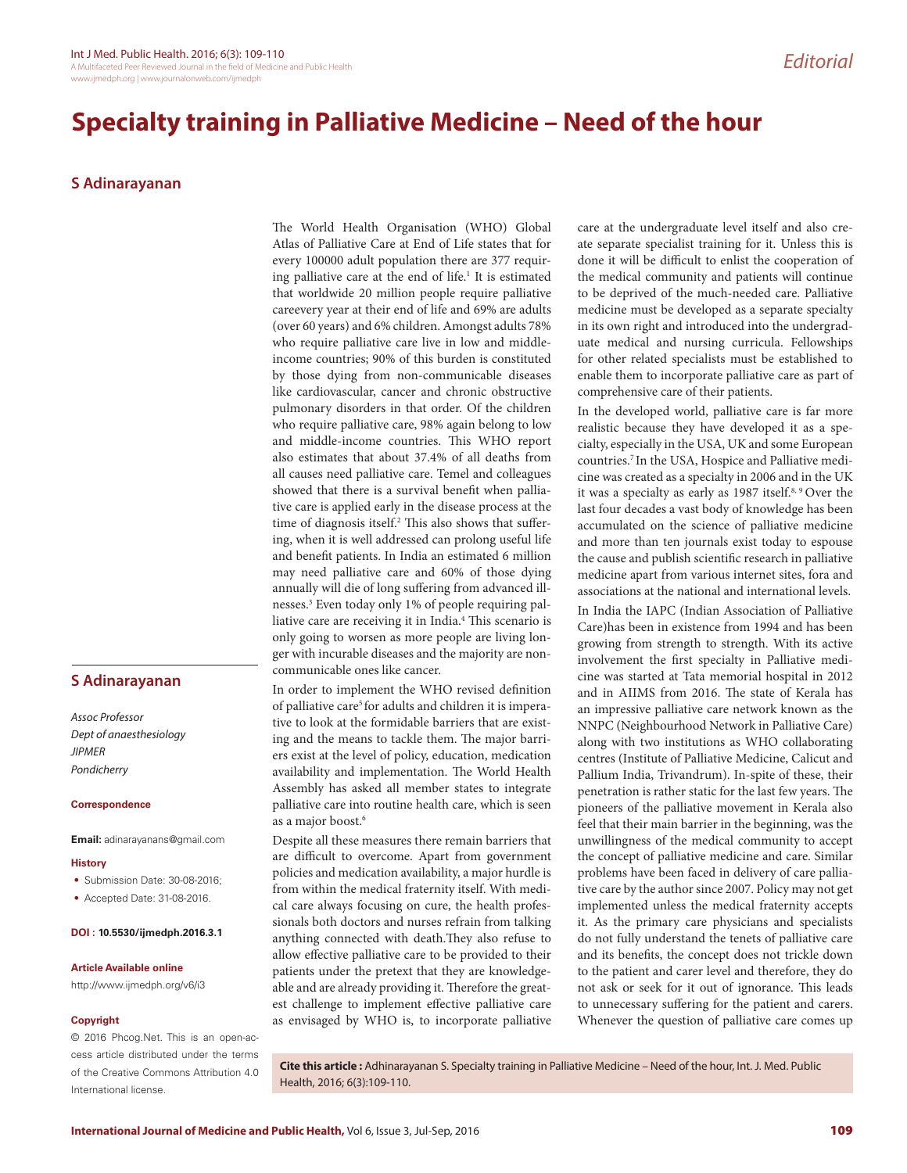# **S Adinarayanan**

## **S Adinarayanan**

*Assoc Professor Dept of anaesthesiology JIPMER Pondicherry*

### **Correspondence**

**Email:** adinarayanans@gmail.com

#### **History**

- Submission Date: 30-08-2016;
- Accepted Date: 31-08-2016.

### **DOI : 10.5530/ijmedph.2016.3.1**

#### **Article Available online**

http://www.ijmedph.org/v6/i3

## **Copyright**

© 2016 Phcog.Net. This is an open-access article distributed under the terms of the Creative Commons Attribution 4.0 International license.

The World Health Organisation (WHO) Global Atlas of Palliative Care at End of Life states that for every 100000 adult population there are 377 requiring palliative care at the end of life.<sup>1</sup> It is estimated that worldwide 20 million people require palliative careevery year at their end of life and 69% are adults (over 60 years) and 6% children. Amongst adults 78% who require palliative care live in low and middleincome countries; 90% of this burden is constituted by those dying from non-communicable diseases like cardiovascular, cancer and chronic obstructive pulmonary disorders in that order. Of the children who require palliative care, 98% again belong to low and middle-income countries. This WHO report also estimates that about 37.4% of all deaths from all causes need palliative care. Temel and colleagues showed that there is a survival benefit when palliative care is applied early in the disease process at the time of diagnosis itself.<sup>2</sup> This also shows that suffering, when it is well addressed can prolong useful life and benefit patients. In India an estimated 6 million may need palliative care and 60% of those dying annually will die of long suffering from advanced illnesses.3 Even today only 1% of people requiring palliative care are receiving it in India.4 This scenario is only going to worsen as more people are living longer with incurable diseases and the majority are noncommunicable ones like cancer.

In order to implement the WHO revised definition of palliative care<sup>5</sup> for adults and children it is imperative to look at the formidable barriers that are existing and the means to tackle them. The major barriers exist at the level of policy, education, medication availability and implementation. The World Health Assembly has asked all member states to integrate palliative care into routine health care, which is seen as a major boost.<sup>6</sup>

Despite all these measures there remain barriers that are difficult to overcome. Apart from government policies and medication availability, a major hurdle is from within the medical fraternity itself. With medical care always focusing on cure, the health professionals both doctors and nurses refrain from talking anything connected with death.They also refuse to allow effective palliative care to be provided to their patients under the pretext that they are knowledgeable and are already providing it. Therefore the greatest challenge to implement effective palliative care as envisaged by WHO is, to incorporate palliative

care at the undergraduate level itself and also create separate specialist training for it. Unless this is done it will be difficult to enlist the cooperation of the medical community and patients will continue to be deprived of the much-needed care. Palliative medicine must be developed as a separate specialty in its own right and introduced into the undergraduate medical and nursing curricula. Fellowships for other related specialists must be established to enable them to incorporate palliative care as part of comprehensive care of their patients.

In the developed world, palliative care is far more realistic because they have developed it as a specialty, especially in the USA, UK and some European countries.7 In the USA, Hospice and Palliative medicine was created as a specialty in 2006 and in the UK it was a specialty as early as 1987 itself.<sup>8, 9</sup> Over the last four decades a vast body of knowledge has been accumulated on the science of palliative medicine and more than ten journals exist today to espouse the cause and publish scientific research in palliative medicine apart from various internet sites, fora and associations at the national and international levels.

In India the IAPC (Indian Association of Palliative Care)has been in existence from 1994 and has been growing from strength to strength. With its active involvement the first specialty in Palliative medicine was started at Tata memorial hospital in 2012 and in AIIMS from 2016. The state of Kerala has an impressive palliative care network known as the NNPC (Neighbourhood Network in Palliative Care) along with two institutions as WHO collaborating centres (Institute of Palliative Medicine, Calicut and Pallium India, Trivandrum). In-spite of these, their penetration is rather static for the last few years. The pioneers of the palliative movement in Kerala also feel that their main barrier in the beginning, was the unwillingness of the medical community to accept the concept of palliative medicine and care. Similar problems have been faced in delivery of care palliative care by the author since 2007. Policy may not get implemented unless the medical fraternity accepts it. As the primary care physicians and specialists do not fully understand the tenets of palliative care and its benefits, the concept does not trickle down to the patient and carer level and therefore, they do not ask or seek for it out of ignorance. This leads to unnecessary suffering for the patient and carers. Whenever the question of palliative care comes up

**Cite this article :** Adhinarayanan S. Specialty training in Palliative Medicine – Need of the hour, Int. J. Med. Public Health, 2016; 6(3):109-110.